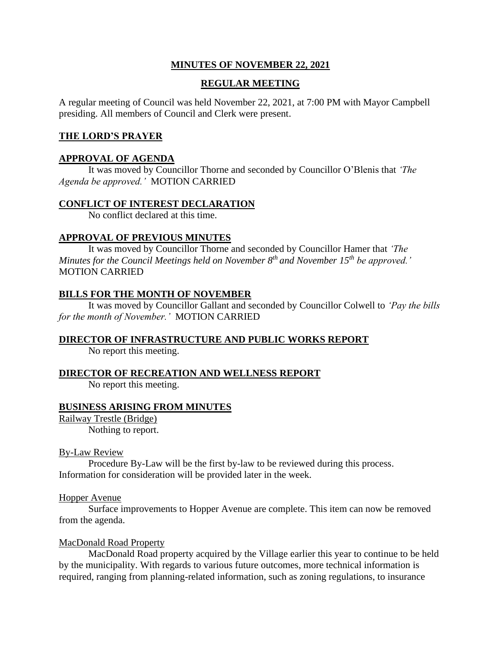# **MINUTES OF NOVEMBER 22, 2021**

## **REGULAR MEETING**

A regular meeting of Council was held November 22, 2021, at 7:00 PM with Mayor Campbell presiding. All members of Council and Clerk were present.

### **THE LORD'S PRAYER**

### **APPROVAL OF AGENDA**

It was moved by Councillor Thorne and seconded by Councillor O'Blenis that *'The Agenda be approved.'* MOTION CARRIED

### **CONFLICT OF INTEREST DECLARATION**

No conflict declared at this time.

### **APPROVAL OF PREVIOUS MINUTES**

It was moved by Councillor Thorne and seconded by Councillor Hamer that *'The Minutes for the Council Meetings held on November 8th and November 15th be approved.'* MOTION CARRIED

### **BILLS FOR THE MONTH OF NOVEMBER**

It was moved by Councillor Gallant and seconded by Councillor Colwell to *'Pay the bills for the month of November.'* MOTION CARRIED

### **DIRECTOR OF INFRASTRUCTURE AND PUBLIC WORKS REPORT**

No report this meeting.

### **DIRECTOR OF RECREATION AND WELLNESS REPORT**

No report this meeting.

### **BUSINESS ARISING FROM MINUTES**

Railway Trestle (Bridge) Nothing to report.

### By-Law Review

Procedure By-Law will be the first by-law to be reviewed during this process. Information for consideration will be provided later in the week.

### Hopper Avenue

Surface improvements to Hopper Avenue are complete. This item can now be removed from the agenda.

### MacDonald Road Property

MacDonald Road property acquired by the Village earlier this year to continue to be held by the municipality. With regards to various future outcomes, more technical information is required, ranging from planning-related information, such as zoning regulations, to insurance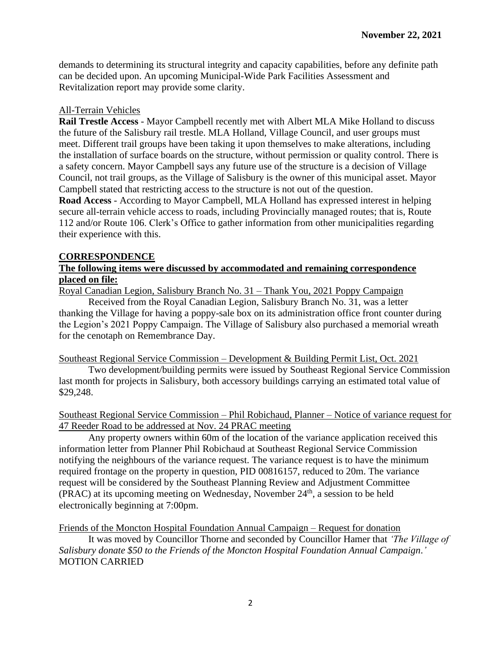demands to determining its structural integrity and capacity capabilities, before any definite path can be decided upon. An upcoming Municipal-Wide Park Facilities Assessment and Revitalization report may provide some clarity.

# All-Terrain Vehicles

**Rail Trestle Access** - Mayor Campbell recently met with Albert MLA Mike Holland to discuss the future of the Salisbury rail trestle. MLA Holland, Village Council, and user groups must meet. Different trail groups have been taking it upon themselves to make alterations, including the installation of surface boards on the structure, without permission or quality control. There is a safety concern. Mayor Campbell says any future use of the structure is a decision of Village Council, not trail groups, as the Village of Salisbury is the owner of this municipal asset. Mayor Campbell stated that restricting access to the structure is not out of the question.

**Road Access** - According to Mayor Campbell, MLA Holland has expressed interest in helping secure all-terrain vehicle access to roads, including Provincially managed routes; that is, Route 112 and/or Route 106. Clerk's Office to gather information from other municipalities regarding their experience with this.

## **CORRESPONDENCE**

## **The following items were discussed by accommodated and remaining correspondence placed on file:**

Royal Canadian Legion, Salisbury Branch No. 31 – Thank You, 2021 Poppy Campaign

Received from the Royal Canadian Legion, Salisbury Branch No. 31, was a letter thanking the Village for having a poppy-sale box on its administration office front counter during the Legion's 2021 Poppy Campaign. The Village of Salisbury also purchased a memorial wreath for the cenotaph on Remembrance Day.

### Southeast Regional Service Commission – Development & Building Permit List, Oct. 2021

Two development/building permits were issued by Southeast Regional Service Commission last month for projects in Salisbury, both accessory buildings carrying an estimated total value of \$29,248.

# Southeast Regional Service Commission – Phil Robichaud, Planner – Notice of variance request for 47 Reeder Road to be addressed at Nov. 24 PRAC meeting

Any property owners within 60m of the location of the variance application received this information letter from Planner Phil Robichaud at Southeast Regional Service Commission notifying the neighbours of the variance request. The variance request is to have the minimum required frontage on the property in question, PID 00816157, reduced to 20m. The variance request will be considered by the Southeast Planning Review and Adjustment Committee (PRAC) at its upcoming meeting on Wednesday, November  $24<sup>th</sup>$ , a session to be held electronically beginning at 7:00pm.

Friends of the Moncton Hospital Foundation Annual Campaign – Request for donation

It was moved by Councillor Thorne and seconded by Councillor Hamer that *'The Village of Salisbury donate \$50 to the Friends of the Moncton Hospital Foundation Annual Campaign*.*'*  MOTION CARRIED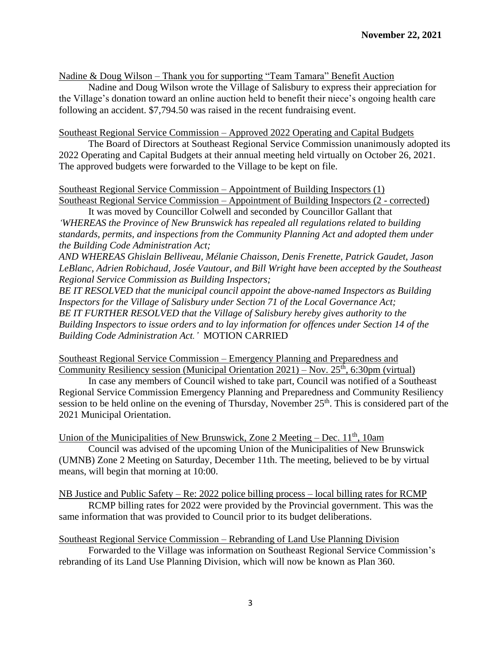Nadine & Doug Wilson – Thank you for supporting "Team Tamara" Benefit Auction

Nadine and Doug Wilson wrote the Village of Salisbury to express their appreciation for the Village's donation toward an online auction held to benefit their niece's ongoing health care following an accident. \$7,794.50 was raised in the recent fundraising event.

Southeast Regional Service Commission – Approved 2022 Operating and Capital Budgets

The Board of Directors at Southeast Regional Service Commission unanimously adopted its 2022 Operating and Capital Budgets at their annual meeting held virtually on October 26, 2021. The approved budgets were forwarded to the Village to be kept on file.

# Southeast Regional Service Commission – Appointment of Building Inspectors (1)

Southeast Regional Service Commission – Appointment of Building Inspectors (2 - corrected) It was moved by Councillor Colwell and seconded by Councillor Gallant that

*'WHEREAS the Province of New Brunswick has repealed all regulations related to building standards, permits, and inspections from the Community Planning Act and adopted them under the Building Code Administration Act;*

*AND WHEREAS Ghislain Belliveau, Mélanie Chaisson, Denis Frenette, Patrick Gaudet, Jason LeBlanc, Adrien Robichaud, Josée Vautour, and Bill Wright have been accepted by the Southeast Regional Service Commission as Building Inspectors;*

*BE IT RESOLVED that the municipal council appoint the above-named Inspectors as Building Inspectors for the Village of Salisbury under Section 71 of the Local Governance Act; BE IT FURTHER RESOLVED that the Village of Salisbury hereby gives authority to the Building Inspectors to issue orders and to lay information for offences under Section 14 of the Building Code Administration Act.'* MOTION CARRIED

Southeast Regional Service Commission – Emergency Planning and Preparedness and Community Resiliency session (Municipal Orientation 2021) – Nov.  $25<sup>th</sup>$ , 6:30pm (virtual)

In case any members of Council wished to take part, Council was notified of a Southeast Regional Service Commission Emergency Planning and Preparedness and Community Resiliency session to be held online on the evening of Thursday, November 25<sup>th</sup>. This is considered part of the 2021 Municipal Orientation.

Union of the Municipalities of New Brunswick, Zone 2 Meeting – Dec.  $11<sup>th</sup>$ , 10am

Council was advised of the upcoming Union of the Municipalities of New Brunswick (UMNB) Zone 2 Meeting on Saturday, December 11th. The meeting, believed to be by virtual means, will begin that morning at 10:00.

NB Justice and Public Safety – Re: 2022 police billing process – local billing rates for RCMP

RCMP billing rates for 2022 were provided by the Provincial government. This was the same information that was provided to Council prior to its budget deliberations.

Southeast Regional Service Commission – Rebranding of Land Use Planning Division

Forwarded to the Village was information on Southeast Regional Service Commission's rebranding of its Land Use Planning Division, which will now be known as Plan 360.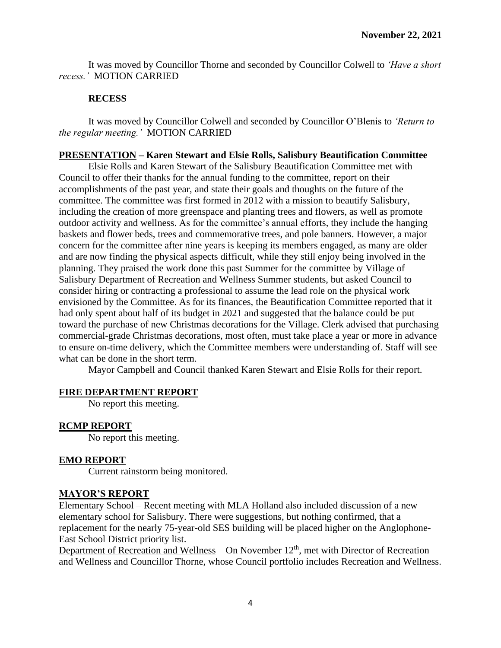It was moved by Councillor Thorne and seconded by Councillor Colwell to *'Have a short recess.'* MOTION CARRIED

## **RECESS**

It was moved by Councillor Colwell and seconded by Councillor O'Blenis to *'Return to the regular meeting.'* MOTION CARRIED

## **PRESENTATION – Karen Stewart and Elsie Rolls, Salisbury Beautification Committee**

Elsie Rolls and Karen Stewart of the Salisbury Beautification Committee met with Council to offer their thanks for the annual funding to the committee, report on their accomplishments of the past year, and state their goals and thoughts on the future of the committee. The committee was first formed in 2012 with a mission to beautify Salisbury, including the creation of more greenspace and planting trees and flowers, as well as promote outdoor activity and wellness. As for the committee's annual efforts, they include the hanging baskets and flower beds, trees and commemorative trees, and pole banners. However, a major concern for the committee after nine years is keeping its members engaged, as many are older and are now finding the physical aspects difficult, while they still enjoy being involved in the planning. They praised the work done this past Summer for the committee by Village of Salisbury Department of Recreation and Wellness Summer students, but asked Council to consider hiring or contracting a professional to assume the lead role on the physical work envisioned by the Committee. As for its finances, the Beautification Committee reported that it had only spent about half of its budget in 2021 and suggested that the balance could be put toward the purchase of new Christmas decorations for the Village. Clerk advised that purchasing commercial-grade Christmas decorations, most often, must take place a year or more in advance to ensure on-time delivery, which the Committee members were understanding of. Staff will see what can be done in the short term.

Mayor Campbell and Council thanked Karen Stewart and Elsie Rolls for their report.

# **FIRE DEPARTMENT REPORT**

No report this meeting.

### **RCMP REPORT**

No report this meeting.

### **EMO REPORT**

Current rainstorm being monitored.

### **MAYOR'S REPORT**

Elementary School – Recent meeting with MLA Holland also included discussion of a new elementary school for Salisbury. There were suggestions, but nothing confirmed, that a replacement for the nearly 75-year-old SES building will be placed higher on the Anglophone-East School District priority list.

Department of Recreation and Wellness – On November  $12<sup>th</sup>$ , met with Director of Recreation and Wellness and Councillor Thorne, whose Council portfolio includes Recreation and Wellness.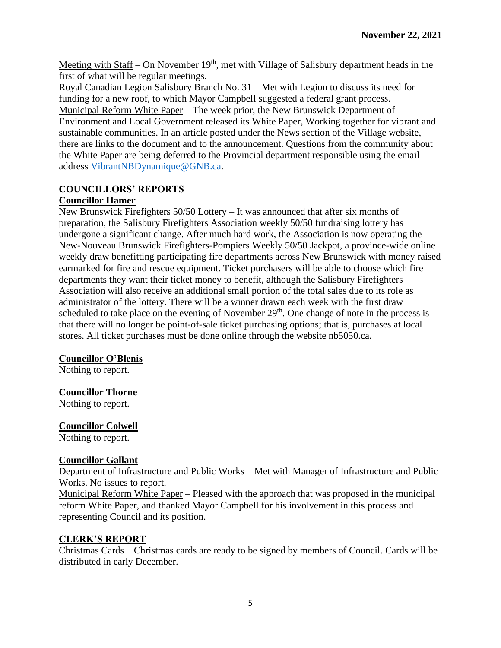Meeting with Staff – On November  $19<sup>th</sup>$ , met with Village of Salisbury department heads in the first of what will be regular meetings.

Royal Canadian Legion Salisbury Branch No. 31 – Met with Legion to discuss its need for funding for a new roof, to which Mayor Campbell suggested a federal grant process. Municipal Reform White Paper – The week prior, the New Brunswick Department of Environment and Local Government released its White Paper, Working together for vibrant and sustainable communities. In an article posted under the News section of the Village website, there are links to the document and to the announcement. Questions from the community about the White Paper are being deferred to the Provincial department responsible using the email address [VibrantNBDynamique@GNB.ca.](mailto:VibrantNBDynamique@GNB.ca)

# **COUNCILLORS' REPORTS**

## **Councillor Hamer**

New Brunswick Firefighters 50/50 Lottery – It was announced that after six months of preparation, the Salisbury Firefighters Association weekly 50/50 fundraising lottery has undergone a significant change. After much hard work, the Association is now operating the New-Nouveau Brunswick Firefighters-Pompiers Weekly 50/50 Jackpot, a province-wide online weekly draw benefitting participating fire departments across New Brunswick with money raised earmarked for fire and rescue equipment. Ticket purchasers will be able to choose which fire departments they want their ticket money to benefit, although the Salisbury Firefighters Association will also receive an additional small portion of the total sales due to its role as administrator of the lottery. There will be a winner drawn each week with the first draw scheduled to take place on the evening of November  $29<sup>th</sup>$ . One change of note in the process is that there will no longer be point-of-sale ticket purchasing options; that is, purchases at local stores. All ticket purchases must be done online through the website nb5050.ca.

# **Councillor O'Blenis**

Nothing to report.

# **Councillor Thorne**

Nothing to report.

# **Councillor Colwell**

Nothing to report.

# **Councillor Gallant**

Department of Infrastructure and Public Works – Met with Manager of Infrastructure and Public Works. No issues to report.

Municipal Reform White Paper – Pleased with the approach that was proposed in the municipal reform White Paper, and thanked Mayor Campbell for his involvement in this process and representing Council and its position.

# **CLERK'S REPORT**

Christmas Cards – Christmas cards are ready to be signed by members of Council. Cards will be distributed in early December.